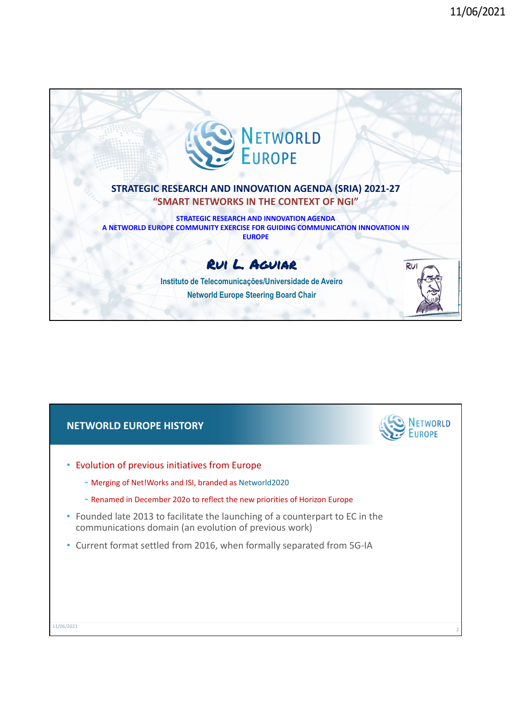

### **NETWORLD EUROPE HISTORY**

- Evolution of previous initiatives from Europe
	- Merging of Net!Works and ISI, branded as Networld2020
	- Renamed in December 202o to reflect the new priorities of Horizon Europe
- Founded late 2013 to facilitate the launching of a counterpart to EC in the communications domain (an evolution of previous work)
- Current format settled from 2016, when formally separated from 5G‐IA

| 11/06/2021 |  |  |
|------------|--|--|
|            |  |  |

TWORLD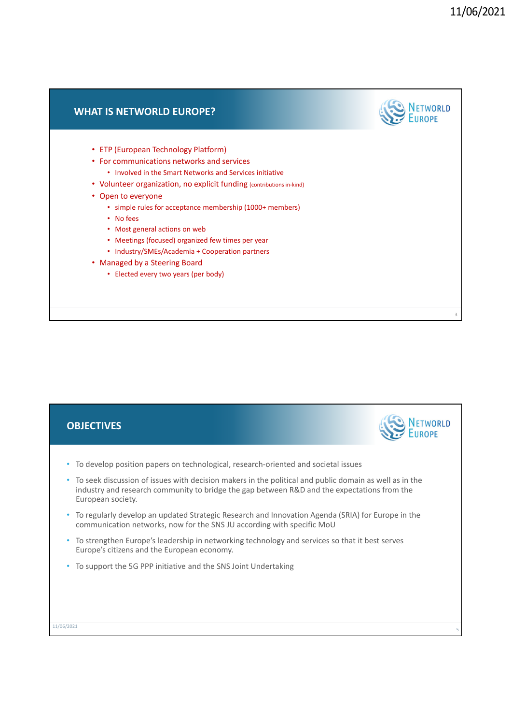## **NETWORLD WHAT IS NETWORLD EUROPE?** • ETP (European Technology Platform) • For communications networks and services • Involved in the Smart Networks and Services initiative • Volunteer organization, no explicit funding (contributions in-kind) • Open to everyone • simple rules for acceptance membership (1000+ members) • No fees • Most general actions on web • Meetings (focused) organized few times per year • Industry/SMEs/Academia + Cooperation partners • Managed by a Steering Board • Elected every two years (per body) 3

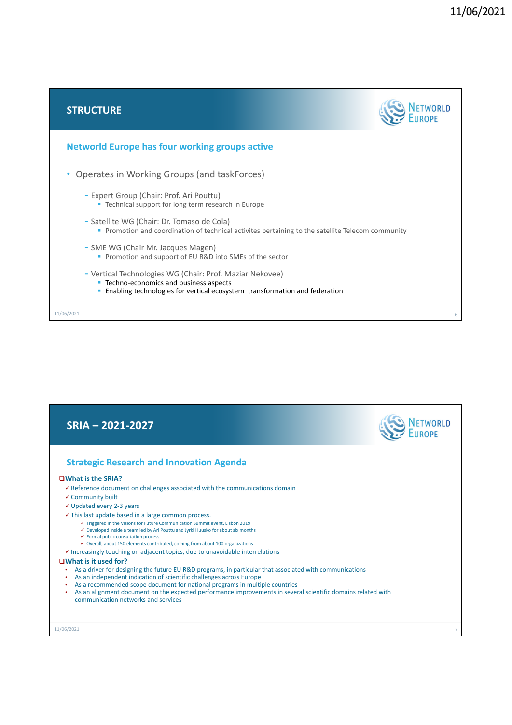



7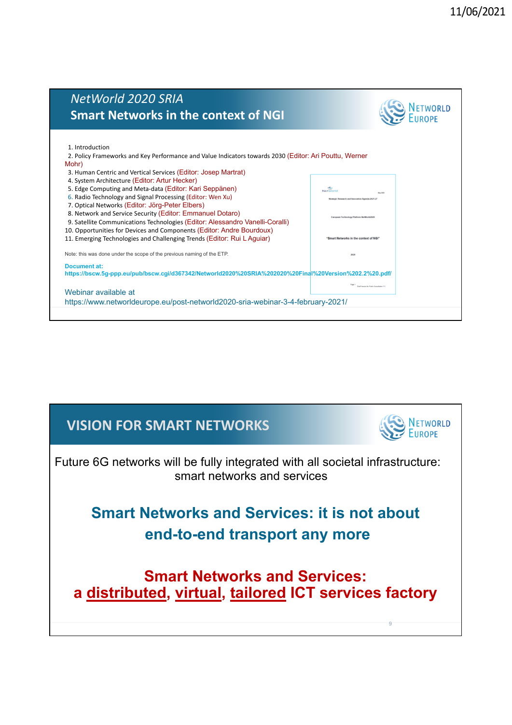### *NetWorld 2020 SRIA* **NETWORLD Smart Networks in the context of NGI** 1. Introduction 2. Policy Frameworks and Key Performance and Value Indicators towards 2030 (Editor: Ari Pouttu, Werner Mohr) 3. Human Centric and Vertical Services (Editor: Josep Martrat) 4. System Architecture (Editor: Artur Hecker) 5. Edge Computing and Meta‐data (Editor: Kari Seppänen) 6. Radio Technology and Signal Processing (Editor: Wen Xu) 7. Optical Networks (Editor: Jörg-Peter Elbers) 8. Network and Service Security (Editor: Emmanuel Dotaro)

Note: this was done under the scope of the previous naming of the ETP.

9. Satellite Communications Technologies (Editor: Alessandro Vanelli-Coralli) 10. Opportunities for Devices and Components (Editor: Andre Bourdoux) 11. Emerging Technologies and Challenging Trends (Editor: Rui L Aguiar)

**Document at: https://bscw.5g-ppp.eu/pub/bscw.cgi/d367342/Networld2020%20SRIA%202020%20Final%20Version%202.2%20.pdf/**

#### Webinar available at https://www.networldeurope.eu/post-networld2020-sria-webinar-3-4-february-2021/

## **VISION FOR SMART NETWORKS**



rice in the context of NGI

9

Future 6G networks will be fully integrated with all societal infrastructure: smart networks and services

# **Smart Networks and Services: it is not about end-to-end transport any more**

**Smart Networks and Services: a distributed, virtual, tailored ICT services factory**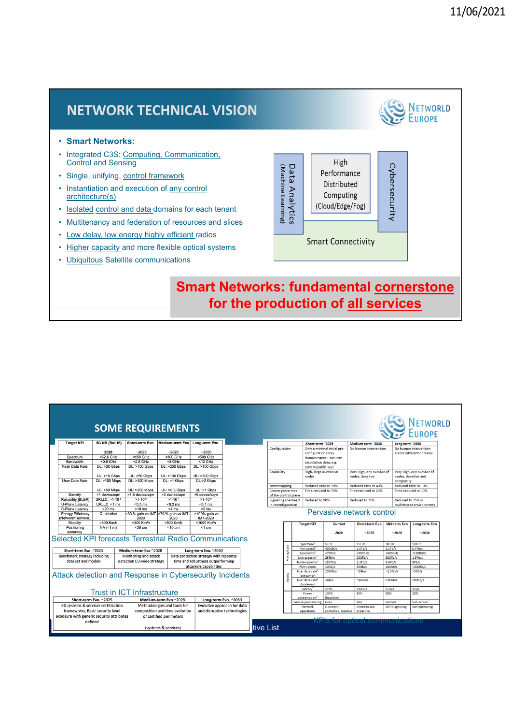

10 **for the production of all services**

|                                                                        |                                     |                                    | <b>SOME REQUIREMENTS</b>                      |                                        |                                           |            |                                           |                             |                                              |                      | <b>NETWORLD</b><br><b>EUROPE</b>                 |
|------------------------------------------------------------------------|-------------------------------------|------------------------------------|-----------------------------------------------|----------------------------------------|-------------------------------------------|------------|-------------------------------------------|-----------------------------|----------------------------------------------|----------------------|--------------------------------------------------|
| <b>Target KPI</b>                                                      | 5G NR (Rel.16)                      | Short-term Evo.                    | Medium-term Evo Long-term Evo.                |                                        |                                           |            | .Short term ~2025                         |                             | Medium term ~2028                            | Long term ~2030      |                                                  |
|                                                                        | 2020                                | $-2025$                            | $-2028$                                       | $-2030$                                | Configuration                             |            |                                           | Only a minimal initial pre- | No human intervention                        |                      | No human intervention                            |
| Spectrum                                                               | <52.6 GHz                           | <150 GHz                           | $300 GHz$                                     | <500 GHz                               |                                           |            | configuration (only                       |                             |                                              |                      | across different domains                         |
| Bandwidth                                                              | $< 0.5$ GHz                         | $< 2.5$ GHz                        | $<$ 5 GHz                                     | $<$ 10 GHz                             |                                           |            | association data, e.g.                    | domain name + security      |                                              |                      |                                                  |
| Peak Data Rate                                                         | DL: >20 Gbps                        | DL: >100 Gbps                      | DL: >200 Gbps                                 | DL: >400 Gbps                          |                                           |            | private/public kev)                       |                             |                                              |                      |                                                  |
|                                                                        | $UL:$ >10 Gbps                      | $UL: >50$ Gbps                     | UL: >100 Gbps                                 | UL: >200 Gbps                          | Scalability                               |            | High, large number of<br>nodes            |                             | Very High, any number of<br>nodes, densities |                      | Very High, any number of<br>nodes, densities and |
| <b>User Data Rate</b>                                                  | DL: >100 Mbps                       | DL: >500 Mbps                      | $DL:$ >1 Gbps                                 | DL:>2 Gbps                             |                                           |            |                                           |                             |                                              | complexity           |                                                  |
|                                                                        | $UL: >50$ Mbps                      | UL: >250 Mbps                      | $UL: >0.5$ Gbps                               | $UL: > 1$ Gbps                         | <b>Bootstrapping</b>                      |            | Reduced time to 70%                       |                             | Reduced time to 40%                          |                      | Reduced time to 10%                              |
| Density                                                                | >1 device/som                       | >1.5 device/sam                    | >2 device/sam                                 | >5 device/sam                          | Convergence time                          |            | Time reduced to 70%                       |                             | Time reduced to 40%                          |                      | Time reduced to 10%                              |
| <b>Reliability [BLER]</b>                                              | URLLC: >1-10-5                      | $>1-10^{-6}$                       | $>1-10^{-7}$                                  | $>1-10^{-8}$                           | of the control plane                      |            |                                           |                             |                                              |                      |                                                  |
| U-Plane Latency                                                        | URLLC: <1 ms                        | $< 0.5$ ms                         | $< 0.2$ ms                                    | $< 0.1$ ms                             | Signalling overhead                       |            | Reduced to 90%                            |                             | Reduced to 75%                               | Reduced to 75% in    |                                                  |
| C-Plane Latency                                                        | $20$ ms                             | $< 10$ ms                          | $<$ 4 ms                                      | $<$ 2 ms                               | in reconfiguration                        |            |                                           |                             |                                              |                      | multitenant environments                         |
| <b>Energy Efficiency</b><br>(Network/Terminal)                         | Qualitative                         | 2020                               | >30 % gain vs IMT- >70 % gain vs IMT-<br>2020 | >100% gain vs<br><b>IMT-2020</b>       |                                           |            |                                           |                             | Pervasive network control                    |                      |                                                  |
| Mobility                                                               | <500 Km/h                           | <500 Km/h                          | <500 Km/h                                     | <1000 Km/h                             |                                           |            | <b>Target KPI</b>                         | <b>Current</b>              | Short-term Evo                               | Mid-term Evo         | <b>Long-term Evo</b>                             |
| Positioning<br>accuracy                                                | $NA \left( \leq 1 \right)$          | $30 cm$                            | $<$ 10 cm                                     | $<1$ cm                                |                                           |            |                                           | 2020                        | $-2025$                                      | $-2028$              | $-2030$                                          |
| Selected KPI forecasts Terrestrial Radio Communications                |                                     |                                    |                                               |                                        |                                           |            | Spectrum <sup>1</sup>                     | 5THz                        | 15THz                                        | 30THz                | <b>SOTH2</b>                                     |
|                                                                        |                                     |                                    |                                               |                                        |                                           |            | Port speed <sup>2</sup>                   | 400Gb/s                     | 1.6Tb/s                                      | 3.2Tb/s              | 6.4Tb/s                                          |
| Short-term Evo. ~2025                                                  |                                     | Medium-term Evo ~2028              |                                               | Long-term Evo. ~2030                   |                                           | Metro/Core | Bandwidth <sup>3</sup>                    | $< 75$ GHz                  | $<$ 300GHz                                   | $<600$ GHz           | $<$ 1200GHz                                      |
| Benchmark strategy including                                           |                                     | Monitoring and attack              |                                               | Data protection strategy with response |                                           |            | Line capacity <sup>4</sup>                | 25Tb/s                      | 200Tb/s                                      | 600Tb/s              | 1.5Pb/s                                          |
| data set and models                                                    |                                     | detection EU-wide strategy         |                                               | time and robustness outperforming      |                                           |            | Node capacity <sup>5</sup>                | 150Tb/s                     | 1.2Pb/s                                      | 3.6Pb/s              | 9Pb/s                                            |
|                                                                        |                                     |                                    |                                               | attackers capabilities                 |                                           |            | PON speeds                                | 10 <sub>6</sub> b/s         | 50Gb/s                                       | 100 <sub>6</sub> b/s | $>200$ Gb/s                                      |
| Attack detection and Response in Cybersecurity Incidents               |                                     |                                    |                                               |                                        | User data rate <sup>6</sup><br>(consumer) | 100Mb/s    | $~^{\sim}1$ Gb/s                          | $>2.5$ Gb/s                 | >5Gb/s                                       |                      |                                                  |
|                                                                        |                                     |                                    |                                               |                                        |                                           |            | User data rate <sup>6</sup><br>(business) | 1Gb/s                       | $~10$ Gb/s                                   | >25Gb/s              | $>50$ Gb/s                                       |
|                                                                        |                                     |                                    |                                               |                                        |                                           |            | Latency                                   | <1ms                        | $<$ 100 $\mu$ s                              | < 10 <sub>us</sub>   | <1 <sub>us</sub>                                 |
|                                                                        |                                     | <b>Trust in ICT Infrastructure</b> |                                               |                                        |                                           |            | Power<br>consumption <sup>8</sup>         | 100%<br>(baseline)          | 40%                                          | 30%                  | 20%                                              |
| Short-term Evo. ~2025<br>Medium-term Evo ~2028<br>Long-term Evo. ~2030 |                                     |                                    |                                               | Service provisioning                   | Hour                                      | Min        | Second                                    | Sub-second                  |                                              |                      |                                                  |
|                                                                        | 5G systems & services certification |                                    | Methodologies and tools for                   | Evolutive approach for data            |                                           |            | Network                                   | Operator-                   | Intent-based.                                | Self-diagnosing      | Self-optimizing                                  |
|                                                                        | frameworks, Basic security level    |                                    | composition and time evolution                | and disruptive technologies            |                                           |            | operations                                | controlled, reactive        | proactive                                    |                      |                                                  |
| exposure with generic security attributes                              |                                     |                                    | of certified perimeters                       |                                        |                                           |            |                                           |                             |                                              |                      |                                                  |
|                                                                        | defined                             |                                    |                                               |                                        |                                           |            |                                           |                             | <b>KPIs for optical communications</b>       |                      |                                                  |
|                                                                        |                                     |                                    | (systems & services)                          |                                        | tive List                                 |            |                                           |                             |                                              |                      |                                                  |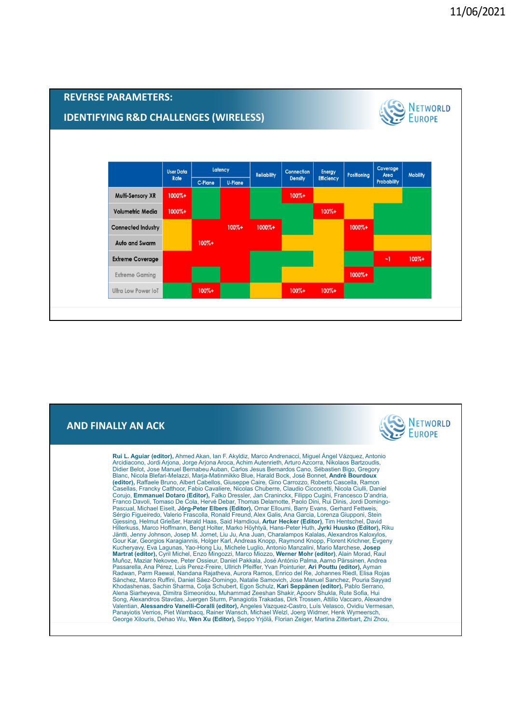

## **AND FINALLY AN ACK**

| <b>D FINALLY AN ACK</b>                                                                                                                                                                                                                                                                                                                                                                                                                                                                                                                                                                                                                                                                                                                                                                                                                                                                                                                                                                                                                                                                                                                                                                                                                                                                                                                                                                                                                                                                                                                                                                                                                                                                                                                                                                                                                                                                                                                                                                                                                                                                                                                                                                                                                                                                                                                                                                                                                                                                                                                                                                                                                                                                                                                                            | NETWORLD |
|--------------------------------------------------------------------------------------------------------------------------------------------------------------------------------------------------------------------------------------------------------------------------------------------------------------------------------------------------------------------------------------------------------------------------------------------------------------------------------------------------------------------------------------------------------------------------------------------------------------------------------------------------------------------------------------------------------------------------------------------------------------------------------------------------------------------------------------------------------------------------------------------------------------------------------------------------------------------------------------------------------------------------------------------------------------------------------------------------------------------------------------------------------------------------------------------------------------------------------------------------------------------------------------------------------------------------------------------------------------------------------------------------------------------------------------------------------------------------------------------------------------------------------------------------------------------------------------------------------------------------------------------------------------------------------------------------------------------------------------------------------------------------------------------------------------------------------------------------------------------------------------------------------------------------------------------------------------------------------------------------------------------------------------------------------------------------------------------------------------------------------------------------------------------------------------------------------------------------------------------------------------------------------------------------------------------------------------------------------------------------------------------------------------------------------------------------------------------------------------------------------------------------------------------------------------------------------------------------------------------------------------------------------------------------------------------------------------------------------------------------------------------|----------|
| Rui L. Aguiar (editor), Ahmed Akan, Ian F. Akyldiz, Marco Andrenacci, Miguel Ángel Vázquez, Antonio<br>Arcidiacono, Jordi Arjona, Jorge Arjona Aroca, Achim Autenrieth, Arturo Azcorra, Nikolaos Bartzoudis,<br>Didier Belot, Jose Manuel Bernabeu Auban, Carlos Jesus Bernardos Cano, Sébastien Bigo, Gregory<br>Blanc, Nicola Blefari-Melazzi, Marja-Matinmikko Blue, Harald Bock, José Bonnet, André Bourdoux<br>(editor), Raffaele Bruno, Albert Cabellos, Giuseppe Caire, Gino Carrozzo, Roberto Cascella, Ramon<br>Casellas, Francky Catthoor, Fabio Cavaliere, Nicolas Chuberre, Claudio Cicconetti, Nicola Ciulli, Daniel<br>Corujo, Emmanuel Dotaro (Editor), Falko Dressler, Jan Craninckx, Filippo Cugini, Francesco D'andria,<br>Franco Davoli, Tomaso De Cola, Hervé Debar, Thomas Delamotte, Paolo Dini, Rui Dinis, Jordi Domingo-<br>Pascual, Michael Eiselt, Jörg-Peter Elbers (Editor), Omar Elloumi, Barry Evans, Gerhard Fettweis,<br>Sérgio Figueiredo, Valerio Frascolla, Ronald Freund, Alex Galis, Ana Garcia, Lorenza Giupponi, Stein<br>Gjessing, Helmut Grießer, Harald Haas, Said Hamdioui, Artur Hecker (Editor), Tim Hentschel, David<br>Hillerkuss, Marco Hoffmann, Bengt Holter, Marko Höyhtyä, Hans-Peter Huth, Jyrki Huusko (Editor), Riku<br>Jäntti, Jenny Johnson, Josep M. Jornet, Liu Ju, Ana Juan, Charalampos Kalalas, Alexandros Kaloxylos,<br>Gour Kar, Georgios Karagiannis, Holger Karl, Andreas Knopp, Raymond Knopp, Florent Krichner, Evgeny<br>Kucheryavy, Eva Lagunas, Yao-Hong Liu, Michele Luglio, Antonio Manzalini, Mario Marchese, Josep<br>Martrat (editor), Cyril Michel, Enzo Mingozzi, Marco Miozzo, Werner Mohr (editor), Alain Morad, Raul<br>Muñoz, Maziar Nekovee, Peter Ossieur, Daniel Pakkala, José António Palma, Aarno Pärssinen, Andrea<br>Passarella, Ana Pérez, Luis Perez-Freire, Ullrich Pfeiffer, Yvan Pointurier, Ari Pouttu (editor), Ayman<br>Radwan, Parm Raewal, Nandana Rajatheva, Aurora Ramos, Enrico del Re, Johannes Riedl, Elisa Rojas<br>Sánchez, Marco Ruffini, Daniel Sáez-Domingo, Natalie Samovich, Jose Manuel Sanchez, Pouria Sayyad<br>Khodashenas, Sachin Sharma, Colja Schubert, Egon Schulz, Kari Seppänen (editor), Pablo Serrano,<br>Alena Siarheyeva, Dimitra Simeonidou, Muhammad Zeeshan Shakir, Apoory Shukla, Rute Sofia, Hui<br>Song, Alexandros Stavdas, Juergen Sturm, Panagiotis Trakadas, Dirk Trossen, Attilio Vaccaro, Alexandre<br>Valentian, Alessandro Vanelli-Coralli (editor), Angeles Vazquez-Castro, Luís Velasco, Ovidiu Vermesan,<br>Panayiotis Verrios, Piet Wambacq, Rainer Wansch, Michael Welzl, Joerg Widmer, Henk Wymeersch,<br>George Xilouris, Dehao Wu, Wen Xu (Editor), Seppo Yrjölä, Florian Zeiger, Martina Zitterbart, Zhi Zhou, |          |
|                                                                                                                                                                                                                                                                                                                                                                                                                                                                                                                                                                                                                                                                                                                                                                                                                                                                                                                                                                                                                                                                                                                                                                                                                                                                                                                                                                                                                                                                                                                                                                                                                                                                                                                                                                                                                                                                                                                                                                                                                                                                                                                                                                                                                                                                                                                                                                                                                                                                                                                                                                                                                                                                                                                                                                    |          |